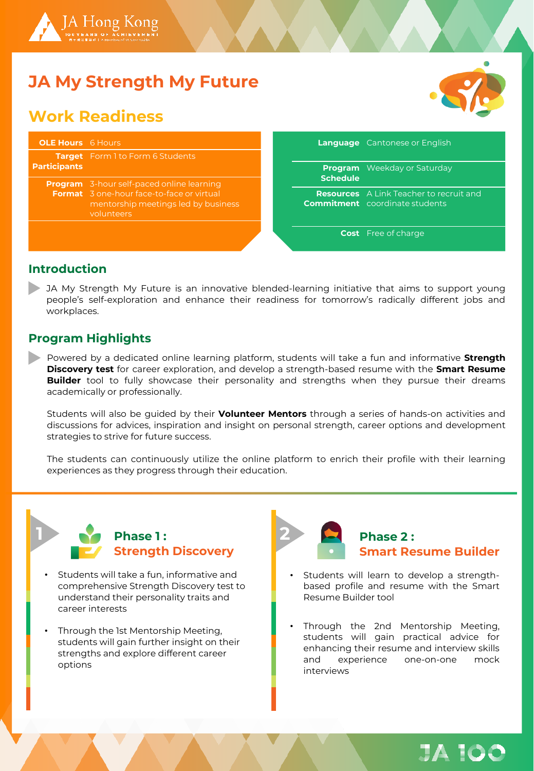

# **JA My Strength My Future**

## **Work Readiness**



| <b>OLE Hours</b> 6 Hours |                                                                                                                                                           |                 | <b>Language</b> Cantonese or English                                                    |
|--------------------------|-----------------------------------------------------------------------------------------------------------------------------------------------------------|-----------------|-----------------------------------------------------------------------------------------|
| <b>Participants</b>      | <b>Target</b> Form 1 to Form 6 Students                                                                                                                   | <b>Schedule</b> | <b>Program</b> Weekday or Saturday                                                      |
|                          | <b>Program</b> 3-hour self-paced online learning<br><b>Format</b> 3 one-hour face-to-face or virtual<br>mentorship meetings led by business<br>volunteers |                 | <b>Resources</b> A Link Teacher to recruit and<br><b>Commitment</b> coordinate students |
|                          |                                                                                                                                                           |                 | <b>Cost</b> Free of charge                                                              |

#### **Introduction**

JA My Strength My Future is an innovative blended-learning initiative that aims to support young people's self-exploration and enhance their readiness for tomorrow's radically different jobs and workplaces.

### **Program Highlights**

Powered by a dedicated online learning platform, students will take a fun and informative **Strength Discovery test** for career exploration, and develop a strength-based resume with the **Smart Resume Builder** tool to fully showcase their personality and strengths when they pursue their dreams academically or professionally.

Students will also be guided by their **Volunteer Mentors** through a series of hands-on activities and discussions for advices, inspiration and insight on personal strength, career options and development strategies to strive for future success.

The students can continuously utilize the online platform to enrich their profile with their learning experiences as they progress through their education.



- Students will take a fun, informative and comprehensive Strength Discovery test to understand their personality traits and career interests
- Through the 1st Mentorship Meeting, students will gain further insight on their strengths and explore different career options



- Students will learn to develop a strengthbased profile and resume with the Smart Resume Builder tool
- Through the 2nd Mentorship Meeting, students will gain practical advice for enhancing their resume and interview skills and experience one-on-one mock interviews